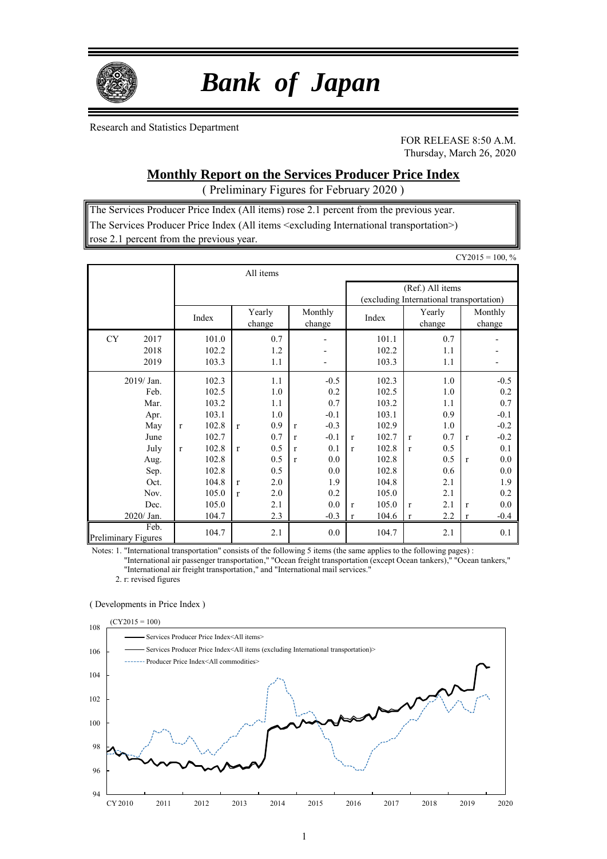

# *Bank of Japan*

Research and Statistics Department

FOR RELEASE 8:50 A.M. Thursday, March 26, 2020

## **Monthly Report on the Services Producer Price Index**

( Preliminary Figures for February 2020 )

The Services Producer Price Index (All items) rose 2.1 percent from the previous year. The Services Producer Price Index (All items <excluding International transportation>) rose 2.1 percent from the previous year.

|                            |              |              |                |                  |            |                                                              |                                                      |              |                |              |                  |              | $CY2015 = 100, %$        |
|----------------------------|--------------|--------------|----------------|------------------|------------|--------------------------------------------------------------|------------------------------------------------------|--------------|----------------|--------------|------------------|--------------|--------------------------|
|                            |              |              |                |                  | All items  |                                                              |                                                      |              |                |              |                  |              |                          |
|                            |              |              |                |                  |            | (Ref.) All items<br>(excluding International transportation) |                                                      |              |                |              |                  |              |                          |
|                            |              |              | Index          | Yearly<br>change |            |                                                              | Monthly<br>change                                    |              | Index          |              | Yearly<br>change |              | Monthly<br>change        |
| <b>CY</b>                  | 2017         |              | 101.0          |                  | 0.7        |                                                              | $\overline{a}$                                       |              | 101.1          |              | 0.7              |              | $\overline{\phantom{0}}$ |
|                            | 2018<br>2019 |              | 102.2<br>103.3 |                  | 1.2<br>1.1 |                                                              | $\overline{\phantom{0}}$<br>$\overline{\phantom{0}}$ |              | 102.2<br>103.3 |              | 1.1<br>1.1       |              |                          |
|                            | 2019/ Jan.   |              | 102.3          |                  | 1.1        |                                                              | $-0.5$                                               |              | 102.3          |              | 1.0              |              | $-0.5$                   |
|                            | Feb.<br>Mar. |              | 102.5<br>103.2 |                  | 1.0<br>1.1 |                                                              | 0.2<br>0.7                                           |              | 102.5<br>103.2 |              | 1.0<br>1.1       |              | 0.2<br>0.7               |
|                            | Apr.         |              | 103.1          |                  | 1.0        |                                                              | $-0.1$                                               |              | 103.1          |              | 0.9              |              | $-0.1$                   |
|                            | May          | $\mathbf{r}$ | 102.8          | r                | 0.9        | $\mathbf{r}$                                                 | $-0.3$                                               |              | 102.9          |              | 1.0              |              | $-0.2$                   |
|                            | June         |              | 102.7          |                  | 0.7        | $\mathbf{r}$                                                 | $-0.1$                                               | $\mathbf{r}$ | 102.7          | $\mathbf{r}$ | 0.7              | $\mathbf{r}$ | $-0.2$                   |
|                            | July         | $\mathbf{r}$ | 102.8          | r                | 0.5        | $\mathbf{r}$                                                 | 0.1                                                  | $\mathbf{r}$ | 102.8          | $\mathbf{r}$ | 0.5              |              | 0.1                      |
|                            | Aug.<br>Sep. |              | 102.8<br>102.8 |                  | 0.5<br>0.5 | $\mathbf{r}$                                                 | 0.0<br>0.0                                           |              | 102.8<br>102.8 |              | 0.5<br>0.6       | $\mathbf{r}$ | 0.0<br>0.0               |
|                            | Oct.         |              | 104.8          | r                | 2.0        |                                                              | 1.9                                                  |              | 104.8          |              | 2.1              |              | 1.9                      |
|                            | Nov.         |              | 105.0          | $\mathbf{r}$     | 2.0        |                                                              | 0.2                                                  |              | 105.0          |              | 2.1              |              | 0.2                      |
|                            | Dec.         |              | 105.0          |                  | 2.1        |                                                              | 0.0                                                  | $\mathbf{r}$ | 105.0          | $\mathbf{r}$ | 2.1              | $\mathbf{r}$ | 0.0                      |
|                            | 2020/ Jan.   |              | 104.7          |                  | 2.3        |                                                              | $-0.3$                                               | $\mathbf{r}$ | 104.6          | $\mathbf r$  | 2.2              | $\bf r$      | $-0.4$                   |
| <b>Preliminary Figures</b> | Feb.         |              | 104.7          |                  | 2.1        |                                                              | 0.0                                                  |              | 104.7          |              | 2.1              |              | 0.1                      |

Notes: 1. "International transportation" consists of the following 5 items (the same applies to the following pages) :

"International air passenger transportation," "Ocean freight transportation (except Ocean tankers)," "Ocean tankers," "International air freight transportation," and "International mail services."

2. r: revised figures

#### ( Developments in Price Index )

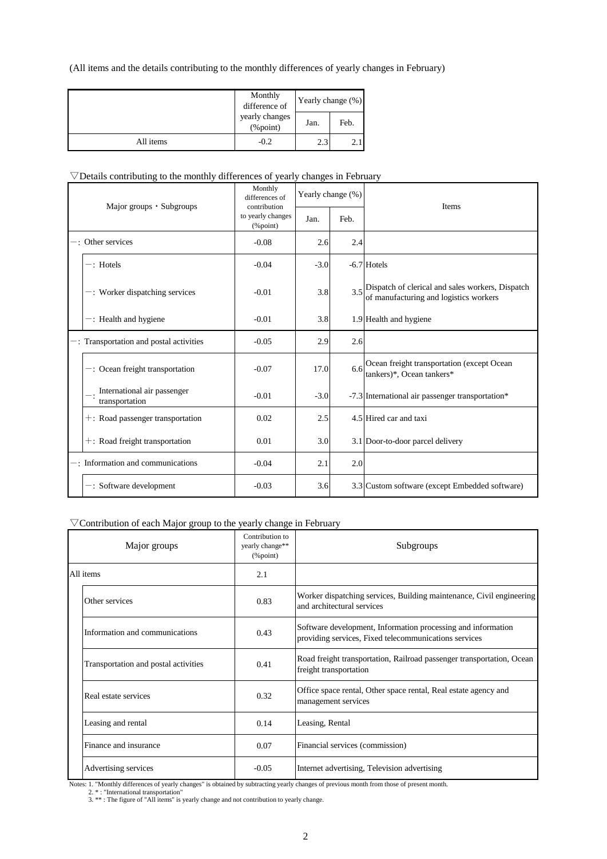(All items and the details contributing to the monthly differences of yearly changes in February)

|           | Monthly<br>difference of       | Yearly change (%) |      |  |  |
|-----------|--------------------------------|-------------------|------|--|--|
|           | yearly changes<br>$(\%$ point) | Jan.              | Feb. |  |  |
| All items | $-0.2$                         | 2.3               | 2.1  |  |  |

### $\nabla$ Details contributing to the monthly differences of yearly changes in February

| Major groups $\cdot$ Subgroups                | Monthly<br>differences of<br>contribution                     |        | Yearly change (%) | <b>Items</b>                                                                                     |  |  |
|-----------------------------------------------|---------------------------------------------------------------|--------|-------------------|--------------------------------------------------------------------------------------------------|--|--|
|                                               | to yearly changes<br>$(% \mathcal{L}_{0}^{\infty})$ (% point) | Jan.   | Feb.              |                                                                                                  |  |  |
| $-$ : Other services                          | $-0.08$                                                       | 2.6    | 2.4               |                                                                                                  |  |  |
| $-$ : Hotels                                  | $-0.04$                                                       | $-3.0$ |                   | $-6.7$ Hotels                                                                                    |  |  |
| $-$ : Worker dispatching services             | $-0.01$                                                       | 3.8    |                   | $3.5$ Dispatch of clerical and sales workers, Dispatch<br>of manufacturing and logistics workers |  |  |
| $-$ : Health and hygiene                      | $-0.01$                                                       | 3.8    |                   | 1.9 Health and hygiene                                                                           |  |  |
| -: Transportation and postal activities       | $-0.05$                                                       | 2.9    | 2.6               |                                                                                                  |  |  |
| $-$ : Ocean freight transportation            | $-0.07$                                                       | 17.0   | 6.6               | Ocean freight transportation (except Ocean<br>tankers)*, Ocean tankers*                          |  |  |
| International air passenger<br>transportation | $-0.01$                                                       | $-3.0$ |                   | -7.3 International air passenger transportation*                                                 |  |  |
| +: Road passenger transportation              | 0.02                                                          | 2.5    |                   | 4.5 Hired car and taxi                                                                           |  |  |
| $+$ : Road freight transportation             | 0.01                                                          | 3.0    |                   | 3.1 Door-to-door parcel delivery                                                                 |  |  |
| -: Information and communications             | $-0.04$                                                       | 2.1    | 2.0               |                                                                                                  |  |  |
| $-$ : Software development                    | $-0.03$                                                       | 3.6    |                   | 3.3 Custom software (except Embedded software)                                                   |  |  |

### ▽Contribution of each Major group to the yearly change in February

| Major groups                         | Contribution to<br>yearly change**<br>$(\%$ point) | Subgroups                                                                                                             |
|--------------------------------------|----------------------------------------------------|-----------------------------------------------------------------------------------------------------------------------|
| All items                            | 2.1                                                |                                                                                                                       |
| Other services                       | 0.83                                               | Worker dispatching services, Building maintenance, Civil engineering<br>and architectural services                    |
| Information and communications       | 0.43                                               | Software development, Information processing and information<br>providing services, Fixed telecommunications services |
| Transportation and postal activities | 0.41                                               | Road freight transportation, Railroad passenger transportation, Ocean<br>freight transportation                       |
| Real estate services                 | 0.32                                               | Office space rental, Other space rental, Real estate agency and<br>management services                                |
| Leasing and rental                   | 0.14                                               | Leasing, Rental                                                                                                       |
| Finance and insurance                | 0.07                                               | Financial services (commission)                                                                                       |
| Advertising services                 | $-0.05$                                            | Internet advertising, Television advertising                                                                          |

Notes: 1. "Monthly differences of yearly changes" is obtained by subtracting yearly changes of previous month from those of present month.

2. \* : "International transportation"<br>3. \*\* : The figure of "All items" is yearly change and not contribution to yearly change.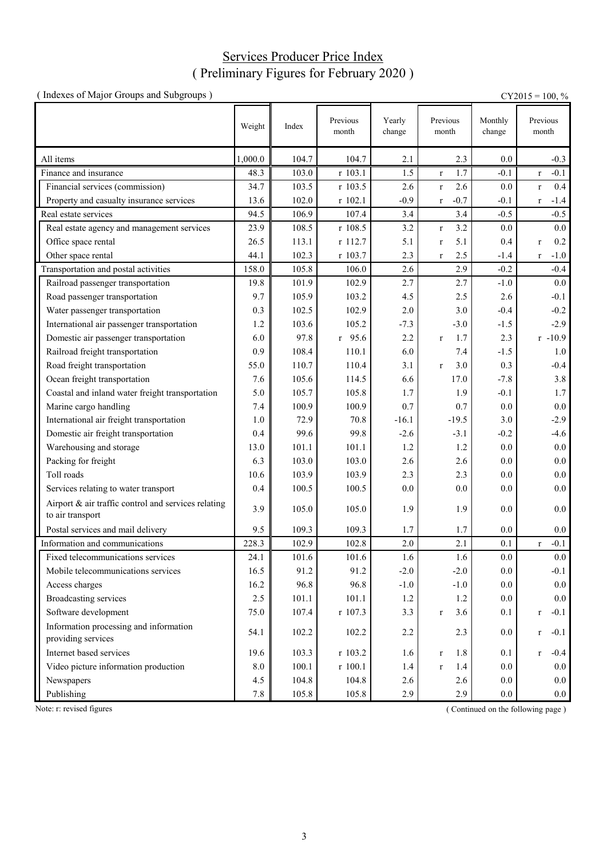# Services Producer Price Index ( Preliminary Figures for February 2020 )

| (Indexes of Major Groups and Subgroups)                                 |         |       |                   |                  |                        |                   | $CY2015 = 100, %$      |
|-------------------------------------------------------------------------|---------|-------|-------------------|------------------|------------------------|-------------------|------------------------|
|                                                                         | Weight  | Index | Previous<br>month | Yearly<br>change | Previous<br>month      | Monthly<br>change | Previous<br>month      |
| All items                                                               | 1,000.0 | 104.7 | 104.7             | 2.1              | 2.3                    | 0.0               | $-0.3$                 |
| Finance and insurance                                                   | 48.3    | 103.0 | r 103.1           | 1.5              | 1.7<br>$\bf r$         | $-0.1$            | $-0.1$<br>$\mathbf{r}$ |
| Financial services (commission)                                         | 34.7    | 103.5 | r 103.5           | 2.6              | 2.6<br>$\bf r$         | 0.0               | 0.4<br>$\mathbf r$     |
| Property and casualty insurance services                                | 13.6    | 102.0 | r 102.1           | $-0.9$           | $-0.7$<br>$\mathbf{r}$ | $-0.1$            | $-1.4$<br>$\mathbf r$  |
| Real estate services                                                    | 94.5    | 106.9 | 107.4             | 3.4              | 3.4                    | $-0.5$            | $-0.5$                 |
| Real estate agency and management services                              | 23.9    | 108.5 | r 108.5           | 3.2              | 3.2<br>$\mathbf{r}$    | 0.0               | 0.0                    |
| Office space rental                                                     | 26.5    | 113.1 | r 112.7           | 5.1              | 5.1<br>$\mathbf{r}$    | 0.4               | 0.2<br>$\mathbf r$     |
| Other space rental                                                      | 44.1    | 102.3 | r 103.7           | 2.3              | 2.5<br>$\mathbf{r}$    | $-1.4$            | $-1.0$<br>$\mathbf r$  |
| Transportation and postal activities                                    | 158.0   | 105.8 | 106.0             | 2.6              | 2.9                    | $-0.2$            | $-0.4$                 |
| Railroad passenger transportation                                       | 19.8    | 101.9 | 102.9             | 2.7              | 2.7                    | $-1.0$            | $0.0\,$                |
| Road passenger transportation                                           | 9.7     | 105.9 | 103.2             | 4.5              | 2.5                    | 2.6               | $-0.1$                 |
| Water passenger transportation                                          | 0.3     | 102.5 | 102.9             | 2.0              | 3.0                    | $-0.4$            | $-0.2$                 |
| International air passenger transportation                              | 1.2     | 103.6 | 105.2             | $-7.3$           | $-3.0$                 | $-1.5$            | $-2.9$                 |
| Domestic air passenger transportation                                   | 6.0     | 97.8  | $r$ 95.6          | 2.2              | 1.7<br>$\bf r$         | 2.3               | $r - 10.9$             |
| Railroad freight transportation                                         | 0.9     | 108.4 | 110.1             | 6.0              | 7.4                    | $-1.5$            | 1.0                    |
| Road freight transportation                                             | 55.0    | 110.7 | 110.4             | 3.1              | 3.0<br>$\mathbf{r}$    | 0.3               | $-0.4$                 |
| Ocean freight transportation                                            | 7.6     | 105.6 | 114.5             | 6.6              | 17.0                   | $-7.8$            | 3.8                    |
| Coastal and inland water freight transportation                         | 5.0     | 105.7 | 105.8             | 1.7              | 1.9                    | $-0.1$            | 1.7                    |
| Marine cargo handling                                                   | 7.4     | 100.9 | 100.9             | 0.7              | 0.7                    | 0.0               | $0.0\,$                |
| International air freight transportation                                | 1.0     | 72.9  | 70.8              | $-16.1$          | $-19.5$                | 3.0               | $-2.9$                 |
| Domestic air freight transportation                                     | 0.4     | 99.6  | 99.8              | $-2.6$           | $-3.1$                 | $-0.2$            | $-4.6$                 |
| Warehousing and storage                                                 | 13.0    | 101.1 | 101.1             | 1.2              | 1.2                    | 0.0               | 0.0                    |
| Packing for freight                                                     | 6.3     | 103.0 | 103.0             | 2.6              | 2.6                    | 0.0               | 0.0                    |
| Toll roads                                                              | 10.6    | 103.9 | 103.9             | 2.3              | 2.3                    | 0.0               | $0.0\,$                |
| Services relating to water transport                                    | 0.4     | 100.5 | 100.5             | 0.0              | 0.0                    | 0.0               | 0.0                    |
| Airport & air traffic control and services relating<br>to air transport | 3.9     | 105.0 | 105.0             | 1.9              | 1.9                    | 0.0               | 0.0                    |
| Postal services and mail delivery                                       | 9.5     | 109.3 | 109.3             | 1.7              | 1.7                    | 0.0               | 0.0                    |
| Information and communications                                          | 228.3   | 102.9 | 102.8             | 2.0              | 2.1                    | 0.1               | $-0.1$<br>$\mathbf r$  |
| Fixed telecommunications services                                       | 24.1    | 101.6 | 101.6             | 1.6              | 1.6                    | 0.0               | $0.0\,$                |
| Mobile telecommunications services                                      | 16.5    | 91.2  | 91.2              | $-2.0$           | $-2.0$                 | 0.0               | $-0.1$                 |
| Access charges                                                          | 16.2    | 96.8  | 96.8              | $-1.0$           | $-1.0$                 | 0.0               | 0.0                    |
| <b>Broadcasting services</b>                                            | 2.5     | 101.1 | 101.1             | 1.2              | 1.2                    | 0.0               | 0.0                    |
| Software development                                                    | 75.0    | 107.4 | r 107.3           | 3.3              | 3.6<br>$\bf r$         | 0.1               | $-0.1$<br>$\mathbf r$  |
| Information processing and information<br>providing services            | 54.1    | 102.2 | 102.2             | 2.2              | 2.3                    | 0.0               | $-0.1$<br>$\mathbf{r}$ |
| Internet based services                                                 | 19.6    | 103.3 | r 103.2           | 1.6              | 1.8<br>$\bf r$         | 0.1               | $-0.4$<br>$\mathbf{r}$ |
| Video picture information production                                    | 8.0     | 100.1 | r 100.1           | 1.4              | 1.4<br>$\mathbf{r}$    | 0.0               | $0.0\,$                |
| Newspapers                                                              | 4.5     | 104.8 | 104.8             | 2.6              | 2.6                    | 0.0               | 0.0                    |
| Publishing                                                              | 7.8     | 105.8 | 105.8             | 2.9              | 2.9                    | 0.0               | 0.0                    |

Note: r: revised figures (Continued on the following page)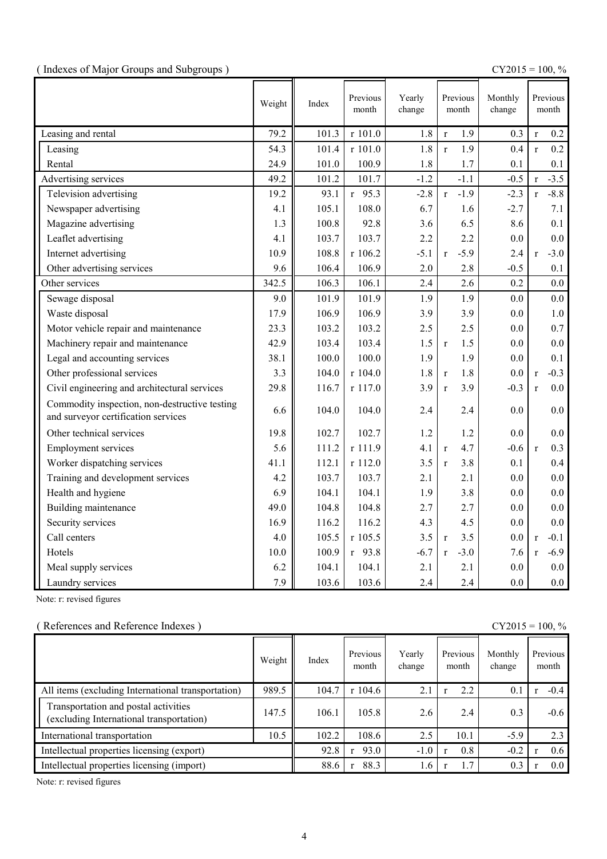|  |  | (Indexes of Major Groups and Subgroups) |  |
|--|--|-----------------------------------------|--|
|  |  |                                         |  |

(  $\text{CY2015} = 100, \%$ 

|                                                                                      | Weight | Index | Previous<br>month | Yearly<br>change | Previous<br>month      | Monthly<br>change |              | Previous<br>month |
|--------------------------------------------------------------------------------------|--------|-------|-------------------|------------------|------------------------|-------------------|--------------|-------------------|
| Leasing and rental                                                                   | 79.2   | 101.3 | r 101.0           | 1.8              | 1.9<br>$\mathbf r$     | 0.3               | $\mathbf{r}$ | 0.2               |
| Leasing                                                                              | 54.3   | 101.4 | r 101.0           | 1.8              | 1.9<br>$\mathbf{r}$    | 0.4               | $\mathbf{r}$ | 0.2               |
| Rental                                                                               | 24.9   | 101.0 | 100.9             | 1.8              | 1.7                    | 0.1               |              | 0.1               |
| Advertising services                                                                 | 49.2   | 101.2 | 101.7             | $-1.2$           | $-1.1$                 | $-0.5$            | $\mathbf{r}$ | $-3.5$            |
| Television advertising                                                               | 19.2   | 93.1  | $r$ 95.3          | $-2.8$           | $-1.9$<br>$\mathbf{r}$ | $-2.3$            | $\mathbf{r}$ | $-8.8$            |
| Newspaper advertising                                                                | 4.1    | 105.1 | 108.0             | 6.7              | 1.6                    | $-2.7$            |              | 7.1               |
| Magazine advertising                                                                 | 1.3    | 100.8 | 92.8              | 3.6              | 6.5                    | 8.6               |              | 0.1               |
| Leaflet advertising                                                                  | 4.1    | 103.7 | 103.7             | 2.2              | 2.2                    | 0.0               |              | 0.0               |
| Internet advertising                                                                 | 10.9   | 108.8 | r 106.2           | $-5.1$           | $-5.9$<br>r            | 2.4               | $\mathbf{r}$ | $-3.0$            |
| Other advertising services                                                           | 9.6    | 106.4 | 106.9             | 2.0              | 2.8                    | $-0.5$            |              | 0.1               |
| Other services                                                                       | 342.5  | 106.3 | 106.1             | 2.4              | 2.6                    | 0.2               |              | 0.0               |
| Sewage disposal                                                                      | 9.0    | 101.9 | 101.9             | 1.9              | 1.9                    | 0.0               |              | 0.0               |
| Waste disposal                                                                       | 17.9   | 106.9 | 106.9             | 3.9              | 3.9                    | 0.0               |              | $1.0\,$           |
| Motor vehicle repair and maintenance                                                 | 23.3   | 103.2 | 103.2             | 2.5              | 2.5                    | 0.0               |              | 0.7               |
| Machinery repair and maintenance                                                     | 42.9   | 103.4 | 103.4             | 1.5              | 1.5<br>$\mathbf{r}$    | 0.0               |              | 0.0               |
| Legal and accounting services                                                        | 38.1   | 100.0 | 100.0             | 1.9              | 1.9                    | 0.0               |              | 0.1               |
| Other professional services                                                          | 3.3    | 104.0 | r 104.0           | 1.8              | 1.8<br>$\mathbf{r}$    | 0.0               | $\mathbf{r}$ | $-0.3$            |
| Civil engineering and architectural services                                         | 29.8   | 116.7 | r 117.0           | 3.9              | 3.9<br>$\mathbf{r}$    | $-0.3$            | $\mathbf{r}$ | 0.0               |
| Commodity inspection, non-destructive testing<br>and surveyor certification services | 6.6    | 104.0 | 104.0             | 2.4              | 2.4                    | 0.0               |              | 0.0               |
| Other technical services                                                             | 19.8   | 102.7 | 102.7             | 1.2              | 1.2                    | 0.0               |              | 0.0               |
| <b>Employment services</b>                                                           | 5.6    | 111.2 | r 111.9           | 4.1              | 4.7<br>$\mathbf{r}$    | $-0.6$            | $\mathbf{r}$ | 0.3               |
| Worker dispatching services                                                          | 41.1   | 112.1 | r 112.0           | 3.5              | 3.8<br>$\mathbf{r}$    | 0.1               |              | 0.4               |
| Training and development services                                                    | 4.2    | 103.7 | 103.7             | 2.1              | 2.1                    | 0.0               |              | $0.0\,$           |
| Health and hygiene                                                                   | 6.9    | 104.1 | 104.1             | 1.9              | 3.8                    | 0.0               |              | 0.0               |
| Building maintenance                                                                 | 49.0   | 104.8 | 104.8             | 2.7              | 2.7                    | 0.0               |              | 0.0               |
| Security services                                                                    | 16.9   | 116.2 | 116.2             | 4.3              | 4.5                    | 0.0               |              | 0.0               |
| Call centers                                                                         | 4.0    | 105.5 | r 105.5           | 3.5              | 3.5<br>$\mathbf{r}$    | 0.0               | $\mathbf{r}$ | $-0.1$            |
| Hotels                                                                               | 10.0   | 100.9 | $r$ 93.8          | $-6.7$           | $-3.0$<br>$\mathbf{r}$ | 7.6               | $\mathbf{r}$ | $-6.9$            |
| Meal supply services                                                                 | 6.2    | 104.1 | 104.1             | 2.1              | 2.1                    | 0.0               |              | 0.0               |
| Laundry services                                                                     | 7.9    | 103.6 | 103.6             | 2.4              | 2.4                    | 0.0               |              | 0.0               |

Note: r: revised figures

### ( References and Reference Indexes ) CY2015 = 100, %

|                                                                                  | Weight | Index | Previous<br>month | Yearly<br>change | Previous<br>month | Monthly<br>change | Previous<br>month |
|----------------------------------------------------------------------------------|--------|-------|-------------------|------------------|-------------------|-------------------|-------------------|
| All items (excluding International transportation)                               | 989.5  | 104.7 | $r$ 104.6         | 2.1              | 2.2               | 0.1               | $-0.4$            |
| Transportation and postal activities<br>(excluding International transportation) | 147.5  | 106.1 | 105.8             | 2.6              | 2.4               | 0.3               | $-0.6$            |
| International transportation                                                     | 10.5   | 102.2 | 108.6             | 2.5              | 10.1              | $-5.9$            | 2.3               |
| Intellectual properties licensing (export)                                       |        | 92.8  | 93.0              | $-1.0$           | 0.8               | $-0.2$            | 0.6               |
| Intellectual properties licensing (import)                                       |        | 88.6  | 88.3              | 1.6              | 1.7               | 0.3               | 0.0 <sub>1</sub>  |

Note: r: revised figures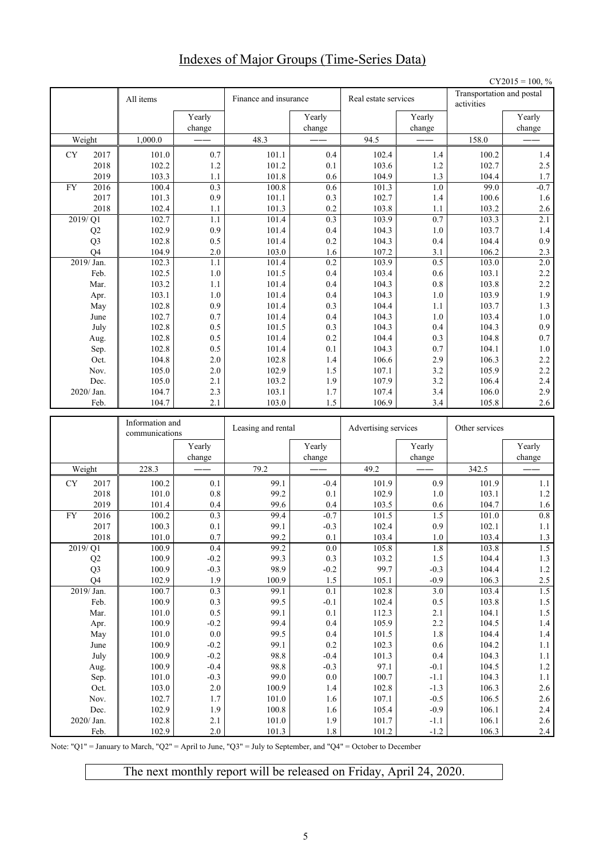# Indexes of Major Groups (Time-Series Data)

|    |                      |                 |                  |                       |                  |                      |                  |                                         | $CY2015 = 100, %$ |
|----|----------------------|-----------------|------------------|-----------------------|------------------|----------------------|------------------|-----------------------------------------|-------------------|
|    |                      | All items       |                  | Finance and insurance |                  | Real estate services |                  | Transportation and postal<br>activities |                   |
|    |                      |                 | Yearly           |                       | Yearly           |                      | Yearly           |                                         | Yearly            |
|    |                      |                 | change           |                       | change           |                      | change           |                                         | change            |
|    | Weight               | 1,000.0         |                  | 48.3                  |                  | 94.5                 |                  | 158.0                                   |                   |
| CY | 2017                 | 101.0           | 0.7              | 101.1                 | 0.4              | 102.4                | 1.4              | 100.2                                   | $1.4\,$           |
|    | 2018                 | 102.2           | 1.2              | 101.2                 | 0.1              | 103.6                | 1.2              | 102.7                                   | 2.5               |
|    | 2019                 | 103.3           | 1.1              | 101.8                 | 0.6              | 104.9                | 1.3              | 104.4                                   | 1.7               |
| FY | 2016                 | 100.4           | 0.3<br>0.9       | 100.8                 | 0.6              | 101.3                | 1.0<br>1.4       | 99.0                                    | $-0.7$<br>1.6     |
|    | 2017<br>2018         | 101.3<br>102.4  | 1.1              | 101.1<br>101.3        | 0.3<br>0.2       | 102.7<br>103.8       | 1.1              | 100.6<br>103.2                          | 2.6               |
|    | $\frac{2019}{21}$    | 102.7           | 1.1              | 101.4                 | $\overline{0.3}$ | 103.9                | $\overline{0.7}$ | 103.3                                   | 2.1               |
|    | Q2                   | 102.9           | 0.9              | 101.4                 | 0.4              | 104.3                | 1.0              | 103.7                                   | $1.4$             |
|    | Q <sub>3</sub>       | 102.8           | 0.5              | 101.4                 | 0.2              | 104.3                | 0.4              | 104.4                                   | 0.9               |
|    | O <sub>4</sub>       | 104.9           | 2.0              | 103.0                 | 1.6              | 107.2                | 3.1              | 106.2                                   | 2.3               |
|    | 2019/ Jan.           | 102.3           | 1.1              | 101.4                 | 0.2              | 103.9                | 0.5              | 103.0                                   | 2.0               |
|    | Feb.                 | 102.5           | 1.0              | 101.5                 | 0.4              | 103.4                | 0.6              | 103.1                                   | 2.2               |
|    | Mar.                 | 103.2           | 1.1              | 101.4                 | 0.4              | 104.3                | 0.8              | 103.8                                   | 2.2               |
|    | Apr.                 | 103.1           | 1.0              | 101.4                 | 0.4              | 104.3                | 1.0              | 103.9                                   | 1.9               |
|    | May                  | 102.8           | 0.9              | 101.4                 | 0.3              | 104.4                | 1.1              | 103.7                                   | 1.3               |
|    | June                 | 102.7           | 0.7<br>0.5       | 101.4<br>101.5        | 0.4<br>0.3       | 104.3<br>104.3       | 1.0<br>0.4       | 103.4<br>104.3                          | $1.0\,$<br>0.9    |
|    | July<br>Aug.         | 102.8<br>102.8  | 0.5              | 101.4                 | 0.2              | 104.4                | 0.3              | 104.8                                   | 0.7               |
|    | Sep.                 | 102.8           | 0.5              | 101.4                 | 0.1              | 104.3                | 0.7              | 104.1                                   | $1.0\,$           |
|    | Oct.                 | 104.8           | 2.0              | 102.8                 | 1.4              | 106.6                | 2.9              | 106.3                                   | 2.2               |
|    | Nov.                 | 105.0           | 2.0              | 102.9                 | 1.5              | 107.1                | 3.2              | 105.9                                   | 2.2               |
|    | Dec.                 | 105.0           | 2.1              | 103.2                 | 1.9              | 107.9                | 3.2              | 106.4                                   | 2.4               |
|    | 2020/ Jan.           | 104.7           | 2.3              | 103.1                 | 1.7              | 107.4                | 3.4              | 106.0                                   | 2.9               |
|    | Feb.                 | 104.7           | 2.1              | 103.0                 | $1.5\,$          | 106.9                | 3.4              | 105.8                                   | 2.6               |
|    |                      |                 |                  |                       |                  |                      |                  |                                         |                   |
|    |                      | Information and |                  |                       |                  |                      |                  |                                         |                   |
|    |                      | communications  |                  | Leasing and rental    |                  | Advertising services |                  | Other services                          |                   |
|    |                      |                 | Yearly<br>change |                       | Yearly<br>change |                      | Yearly<br>change |                                         | Yearly<br>change  |
|    | Weight               | 228.3           |                  | 79.2                  |                  | 49.2                 |                  | 342.5                                   |                   |
| CY | 2017                 | 100.2           | 0.1              | 99.1                  | $-0.4$           | 101.9                | 0.9              | 101.9                                   | 1.1               |
|    | 2018                 | 101.0           | 0.8              | 99.2                  | 0.1              | 102.9                | 1.0              | 103.1                                   | $1.2\,$           |
|    | 2019                 | 101.4           | 0.4              | 99.6                  | 0.4              | 103.5                | 0.6              | 104.7                                   | 1.6               |
| FY | 2016                 | 100.2           | 0.3              | 99.4                  | $-0.7$           | 101.5                | 1.5              | 101.0                                   | 0.8               |
|    | 2017                 | 100.3           | 0.1              | 99.1                  | $-0.3$           | 102.4                | 0.9              | 102.1                                   | 1.1               |
|    | 2018                 | $101.0\,$       | $0.7\,$          | 99.2                  | 0.1              | 103.4                | $1.0\,$          | 103.4                                   | $1.3\,$           |
|    | 2019/Q1              | 100.9           | 0.4              | 99.2                  | $0.0\,$          | 105.8                | $1.8\,$          | 103.8                                   | 1.5               |
|    | Q2                   | 100.9           | $-0.2$           | 99.3                  | $0.3\,$          | 103.2                | 1.5              | 104.4                                   | $1.3\,$           |
|    | Q <sub>3</sub><br>Q4 | 100.9<br>102.9  | $-0.3$<br>1.9    | 98.9<br>100.9         | $-0.2$<br>1.5    | 99.7<br>105.1        | $-0.3$<br>$-0.9$ | 104.4<br>106.3                          | $1.2\,$           |
|    | 2019/Jan.            | 100.7           | 0.3              | 99.1                  | 0.1              | 102.8                | 3.0              | 103.4                                   | $2.5\,$<br>1.5    |
|    | Feb.                 | 100.9           | $0.3\,$          | 99.5                  | $-0.1$           | 102.4                | $0.5\,$          | 103.8                                   | $1.5\,$           |
|    | Mar.                 | $101.0\,$       | $0.5\,$          | 99.1                  | $0.1\,$          | 112.3                | 2.1              | 104.1                                   | $1.5\,$           |
|    | Apr.                 | 100.9           | $-0.2$           | 99.4                  | 0.4              | 105.9                | $2.2\,$          | 104.5                                   | $1.4\,$           |
|    | May                  | 101.0           | $0.0\,$          | 99.5                  | 0.4              | 101.5                | $1.8\,$          | 104.4                                   | $1.4\,$           |
|    | June                 | 100.9           | $-0.2$           | 99.1                  | $0.2\,$          | 102.3                | $0.6\,$          | 104.2                                   | $1.1\,$           |
|    | July                 | 100.9           | $-0.2$           | 98.8                  | $-0.4$           | 101.3                | 0.4              | 104.3                                   | $1.1\,$           |
|    | Aug.                 | 100.9           | $-0.4$           | 98.8                  | $-0.3$           | 97.1                 | $-0.1$           | 104.5                                   | $1.2\,$           |
|    | Sep.                 | 101.0           | $-0.3$           | 99.0                  | $0.0\,$          | 100.7                | $-1.1$           | 104.3                                   | $1.1\,$           |
|    | Oct.                 | 103.0           | $2.0\,$          | 100.9                 | $1.4\,$          | 102.8                | $-1.3$           | 106.3                                   | $2.6\,$           |
|    | Nov.<br>Dec.         | 102.7<br>102.9  | 1.7<br>1.9       | 101.0<br>100.8        | 1.6<br>1.6       | 107.1<br>105.4       | $-0.5$<br>$-0.9$ | 106.5<br>106.1                          | 2.6               |
|    | 2020/ Jan.           | 102.8           | 2.1              | 101.0                 | 1.9              | 101.7                | $-1.1$           | 106.1                                   | $2.4\,$<br>2.6    |

Note: "Q1" = January to March, "Q2" = April to June, "Q3" = July to September, and "Q4" = October to December

The next monthly report will be released on Friday, April 24, 2020.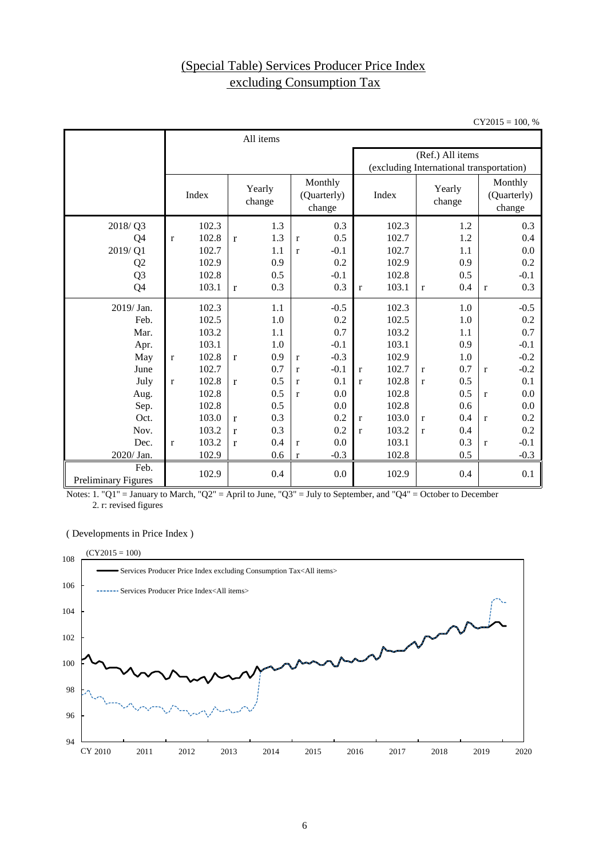# (Special Table) Services Producer Price Index excluding Consumption Tax

 $CY2015 = 100, %$ 

|                                    |              |       |              | All items                                            |              |        |                                          |       |              |                                  |              |        |
|------------------------------------|--------------|-------|--------------|------------------------------------------------------|--------------|--------|------------------------------------------|-------|--------------|----------------------------------|--------------|--------|
|                                    |              |       |              |                                                      |              |        |                                          |       |              | (Ref.) All items                 |              |        |
|                                    |              |       |              |                                                      |              |        | (excluding International transportation) |       |              |                                  |              |        |
|                                    |              | Index |              | Monthly<br>Yearly<br>(Quarterly)<br>change<br>change |              |        | Yearly<br>Index<br>change                |       |              | Monthly<br>(Quarterly)<br>change |              |        |
| 2018/Q3                            |              | 102.3 |              | 1.3                                                  |              | 0.3    |                                          | 102.3 |              | 1.2                              |              | 0.3    |
| Q4                                 | $\mathbf{r}$ | 102.8 | $\mathbf{r}$ | 1.3                                                  | $\mathbf{r}$ | 0.5    |                                          | 102.7 |              | 1.2                              |              | 0.4    |
| 2019/Q1                            |              | 102.7 |              | 1.1                                                  | $\mathbf{r}$ | $-0.1$ |                                          | 102.7 |              | 1.1                              |              | 0.0    |
| Q <sub>2</sub>                     |              | 102.9 |              | 0.9                                                  |              | 0.2    |                                          | 102.9 |              | 0.9                              |              | 0.2    |
| Q <sub>3</sub>                     |              | 102.8 |              | 0.5                                                  |              | $-0.1$ |                                          | 102.8 |              | 0.5                              |              | $-0.1$ |
| Q4                                 |              | 103.1 | $\mathbf{r}$ | 0.3                                                  |              | 0.3    | $\mathbf{r}$                             | 103.1 | r            | 0.4                              | $\mathbf{r}$ | 0.3    |
| 2019/ Jan.                         |              | 102.3 |              | 1.1                                                  |              | $-0.5$ |                                          | 102.3 |              | 1.0                              |              | $-0.5$ |
| Feb.                               |              | 102.5 |              | $1.0\,$                                              |              | 0.2    |                                          | 102.5 |              | 1.0                              |              | 0.2    |
| Mar.                               |              | 103.2 |              | 1.1                                                  |              | 0.7    |                                          | 103.2 |              | 1.1                              |              | 0.7    |
| Apr.                               |              | 103.1 |              | 1.0                                                  |              | $-0.1$ |                                          | 103.1 |              | 0.9                              |              | $-0.1$ |
| May                                | $\bf r$      | 102.8 | $\mathbf{r}$ | 0.9                                                  | $\mathbf{r}$ | $-0.3$ |                                          | 102.9 |              | 1.0                              |              | $-0.2$ |
| June                               |              | 102.7 |              | 0.7                                                  | $\mathbf{r}$ | $-0.1$ | $\mathbf{r}$                             | 102.7 | $\mathbf{r}$ | 0.7                              | $\mathbf{r}$ | $-0.2$ |
| July                               | $\mathbf{r}$ | 102.8 | $\mathbf{r}$ | 0.5                                                  | $\mathbf{r}$ | 0.1    | $\mathbf{r}$                             | 102.8 | $\mathbf{r}$ | 0.5                              |              | 0.1    |
| Aug.                               |              | 102.8 |              | 0.5                                                  | $\mathbf{r}$ | 0.0    |                                          | 102.8 |              | 0.5                              | $\mathbf{r}$ | 0.0    |
| Sep.                               |              | 102.8 |              | 0.5                                                  |              | 0.0    |                                          | 102.8 |              | 0.6                              |              | 0.0    |
| Oct.                               |              | 103.0 | $\mathbf{r}$ | 0.3                                                  |              | 0.2    | $\bf r$                                  | 103.0 | $\mathbf{r}$ | 0.4                              | $\mathbf{r}$ | 0.2    |
| Nov.                               |              | 103.2 | $\mathbf{r}$ | 0.3                                                  |              | 0.2    | $\mathbf{r}$                             | 103.2 | $\mathbf{r}$ | 0.4                              |              | 0.2    |
| Dec.                               | $\mathbf{r}$ | 103.2 | $\mathbf{r}$ | 0.4                                                  | $\mathbf{r}$ | 0.0    |                                          | 103.1 |              | 0.3                              | $\mathbf{r}$ | $-0.1$ |
| 2020/ Jan.                         |              | 102.9 |              | 0.6                                                  | $\mathbf{r}$ | $-0.3$ |                                          | 102.8 |              | 0.5                              |              | $-0.3$ |
| Feb.<br><b>Preliminary Figures</b> |              | 102.9 |              | 0.4                                                  |              | 0.0    |                                          | 102.9 |              | 0.4                              |              | 0.1    |

Notes: 1. "Q1" = January to March, "Q2" = April to June, "Q3" = July to September, and "Q4" = October to December 2. r: revised figures

( Developments in Price Index )

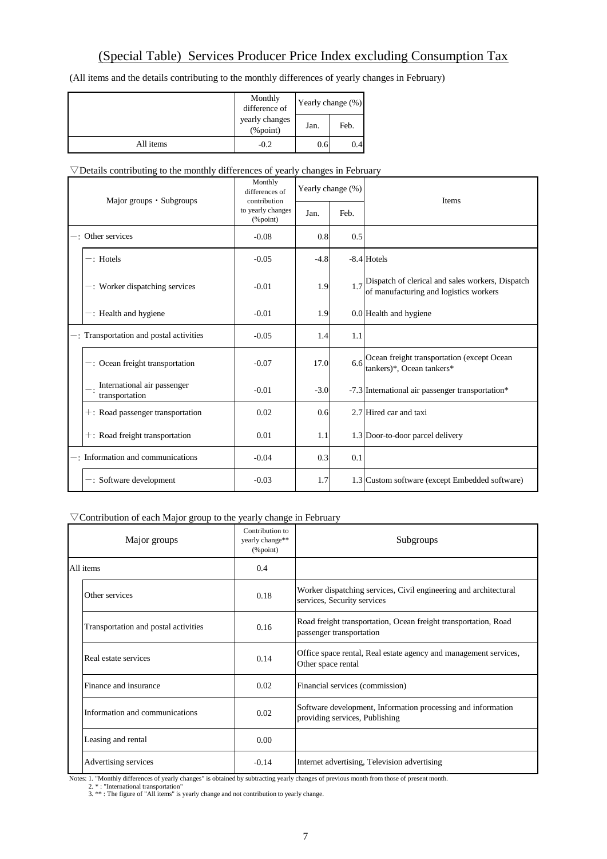# (Special Table) Services Producer Price Index excluding Consumption Tax

(All items and the details contributing to the monthly differences of yearly changes in February)

|           | Monthly<br>difference of   | Yearly change (%) |      |  |
|-----------|----------------------------|-------------------|------|--|
|           | yearly changes<br>(%point) | Jan.              | Feb. |  |
| All items | $-0.2$                     | 0.6               | 0.4  |  |

### $\nabla$ Details contributing to the monthly differences of yearly changes in February

| Major groups $\cdot$ Subgroups |                                               | Monthly<br>differences of<br>contribution |        | Yearly change (%) | <b>Items</b>                                                                                     |
|--------------------------------|-----------------------------------------------|-------------------------------------------|--------|-------------------|--------------------------------------------------------------------------------------------------|
|                                |                                               | to yearly changes<br>$(\%$ point)         | Jan.   | Feb.              |                                                                                                  |
|                                | $-$ : Other services                          | $-0.08$                                   | 0.8    | 0.5               |                                                                                                  |
|                                | $-$ : Hotels                                  | $-0.05$                                   | $-4.8$ |                   | $-8.4$ Hotels                                                                                    |
|                                | $-$ : Worker dispatching services             | $-0.01$                                   | 1.9    |                   | $1.7$ Dispatch of clerical and sales workers, Dispatch<br>of manufacturing and logistics workers |
|                                | -: Health and hygiene                         | $-0.01$                                   | 1.9    |                   | 0.0 Health and hygiene                                                                           |
|                                | $-$ : Transportation and postal activities    | $-0.05$                                   | 1.4    | 1.1               |                                                                                                  |
|                                | $-$ : Ocean freight transportation            | $-0.07$                                   | 17.0   | 6.6               | Ocean freight transportation (except Ocean<br>tankers)*, Ocean tankers*                          |
|                                | International air passenger<br>transportation | $-0.01$                                   | $-3.0$ |                   | -7.3 International air passenger transportation*                                                 |
|                                | $\pm$ : Road passenger transportation         | 0.02                                      | 0.6    |                   | 2.7 Hired car and taxi                                                                           |
|                                | $+$ : Road freight transportation             | 0.01                                      | 1.1    |                   | 1.3 Door-to-door parcel delivery                                                                 |
|                                | -: Information and communications             | $-0.04$                                   | 0.3    | 0.1               |                                                                                                  |
|                                | $-$ : Software development                    | $-0.03$                                   | 1.7    |                   | 1.3 Custom software (except Embedded software)                                                   |

### ▽Contribution of each Major group to the yearly change in February

| Major groups |                                      | Contribution to<br>yearly change**<br>$(\%$ point) | Subgroups                                                                                       |  |  |
|--------------|--------------------------------------|----------------------------------------------------|-------------------------------------------------------------------------------------------------|--|--|
| All items    |                                      | 0.4                                                |                                                                                                 |  |  |
|              | Other services                       | 0.18                                               | Worker dispatching services, Civil engineering and architectural<br>services, Security services |  |  |
|              | Transportation and postal activities | 0.16                                               | Road freight transportation, Ocean freight transportation, Road<br>passenger transportation     |  |  |
|              | Real estate services                 | 0.14                                               | Office space rental, Real estate agency and management services,<br>Other space rental          |  |  |
|              | Finance and insurance                | 0.02                                               | Financial services (commission)                                                                 |  |  |
|              | Information and communications       | 0.02                                               | Software development, Information processing and information<br>providing services, Publishing  |  |  |
|              | Leasing and rental                   | 0.00                                               |                                                                                                 |  |  |
|              | Advertising services                 | $-0.14$                                            | Internet advertising, Television advertising                                                    |  |  |

Notes: 1. "Monthly differences of yearly changes" is obtained by subtracting yearly changes of previous month from those of present month.

<sup>2. \* : &</sup>quot;International transportation"<br>3. \*\* : The figure of "All items" is yearly change and not contribution to yearly change.